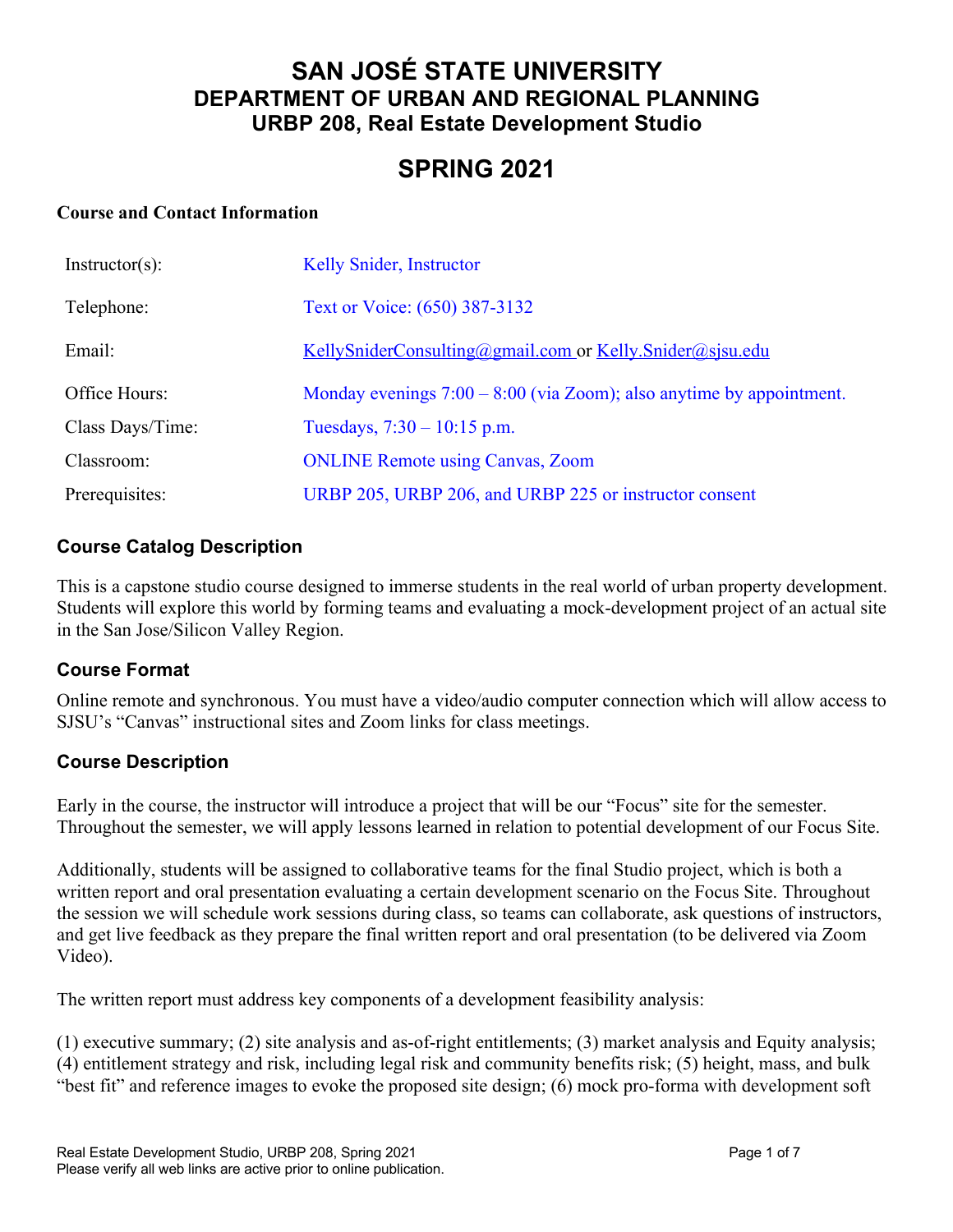## **SAN JOSÉ STATE UNIVERSITY DEPARTMENT OF URBAN AND REGIONAL PLANNING URBP 208, Real Estate Development Studio**

# **SPRING 2021**

#### **Course and Contact Information**

| $Instructor(s)$ : | Kelly Snider, Instructor                                               |
|-------------------|------------------------------------------------------------------------|
| Telephone:        | Text or Voice: (650) 387-3132                                          |
| Email:            | KellySniderConsulting@gmail.com or Kelly.Snider@sjsu.edu               |
| Office Hours:     | Monday evenings $7:00 - 8:00$ (via Zoom); also anytime by appointment. |
| Class Days/Time:  | Tuesdays, $7:30 - 10:15$ p.m.                                          |
| Classroom:        | <b>ONLINE Remote using Canvas, Zoom</b>                                |
| Prerequisites:    | URBP 205, URBP 206, and URBP 225 or instructor consent                 |

#### **Course Catalog Description**

This is a capstone studio course designed to immerse students in the real world of urban property development. Students will explore this world by forming teams and evaluating a mock-development project of an actual site in the San Jose/Silicon Valley Region.

#### **Course Format**

Online remote and synchronous. You must have a video/audio computer connection which will allow access to SJSU's "Canvas" instructional sites and Zoom links for class meetings.

#### **Course Description**

Early in the course, the instructor will introduce a project that will be our "Focus" site for the semester. Throughout the semester, we will apply lessons learned in relation to potential development of our Focus Site.

Additionally, students will be assigned to collaborative teams for the final Studio project, which is both a written report and oral presentation evaluating a certain development scenario on the Focus Site. Throughout the session we will schedule work sessions during class, so teams can collaborate, ask questions of instructors, and get live feedback as they prepare the final written report and oral presentation (to be delivered via Zoom Video).

The written report must address key components of a development feasibility analysis:

(1) executive summary; (2) site analysis and as-of-right entitlements; (3) market analysis and Equity analysis; (4) entitlement strategy and risk, including legal risk and community benefits risk; (5) height, mass, and bulk "best fit" and reference images to evoke the proposed site design; (6) mock pro-forma with development soft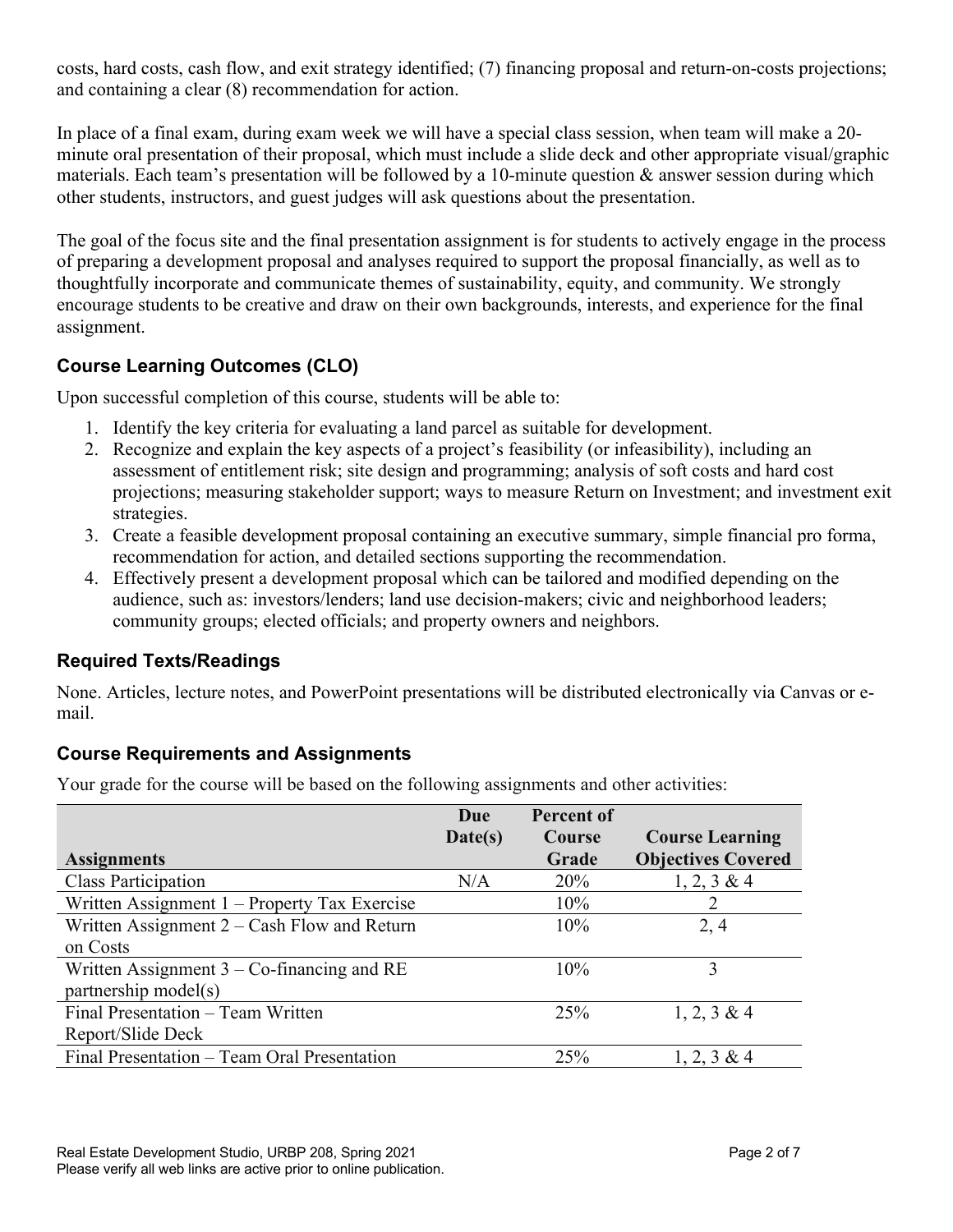costs, hard costs, cash flow, and exit strategy identified; (7) financing proposal and return-on-costs projections; and containing a clear (8) recommendation for action.

In place of a final exam, during exam week we will have a special class session, when team will make a 20 minute oral presentation of their proposal, which must include a slide deck and other appropriate visual/graphic materials. Each team's presentation will be followed by a 10-minute question  $\&$  answer session during which other students, instructors, and guest judges will ask questions about the presentation.

The goal of the focus site and the final presentation assignment is for students to actively engage in the process of preparing a development proposal and analyses required to support the proposal financially, as well as to thoughtfully incorporate and communicate themes of sustainability, equity, and community. We strongly encourage students to be creative and draw on their own backgrounds, interests, and experience for the final assignment.

## **Course Learning Outcomes (CLO)**

Upon successful completion of this course, students will be able to:

- 1. Identify the key criteria for evaluating a land parcel as suitable for development.
- 2. Recognize and explain the key aspects of a project's feasibility (or infeasibility), including an assessment of entitlement risk; site design and programming; analysis of soft costs and hard cost projections; measuring stakeholder support; ways to measure Return on Investment; and investment exit strategies.
- 3. Create a feasible development proposal containing an executive summary, simple financial pro forma, recommendation for action, and detailed sections supporting the recommendation.
- 4. Effectively present a development proposal which can be tailored and modified depending on the audience, such as: investors/lenders; land use decision-makers; civic and neighborhood leaders; community groups; elected officials; and property owners and neighbors.

## **Required Texts/Readings**

None. Articles, lecture notes, and PowerPoint presentations will be distributed electronically via Canvas or email.

## **Course Requirements and Assignments**

Your grade for the course will be based on the following assignments and other activities:

|                                               | Due     | <b>Percent of</b> |                           |
|-----------------------------------------------|---------|-------------------|---------------------------|
|                                               | Date(s) | <b>Course</b>     | <b>Course Learning</b>    |
| <b>Assignments</b>                            |         | Grade             | <b>Objectives Covered</b> |
| <b>Class Participation</b>                    | N/A     | 20%               | $1, 2, 3 \& 4$            |
| Written Assignment 1 – Property Tax Exercise  |         | 10%               | 2                         |
| Written Assignment $2 - Cash$ Flow and Return |         | 10%               | 2, 4                      |
| on Costs                                      |         |                   |                           |
| Written Assignment $3 - Co$ -financing and RE |         | 10%               | 3                         |
| partnership model(s)                          |         |                   |                           |
| Final Presentation - Team Written             |         | 25%               | $1, 2, 3 \& 4$            |
| Report/Slide Deck                             |         |                   |                           |
| Final Presentation - Team Oral Presentation   |         | 25%               | $1, 2, 3 \& 4$            |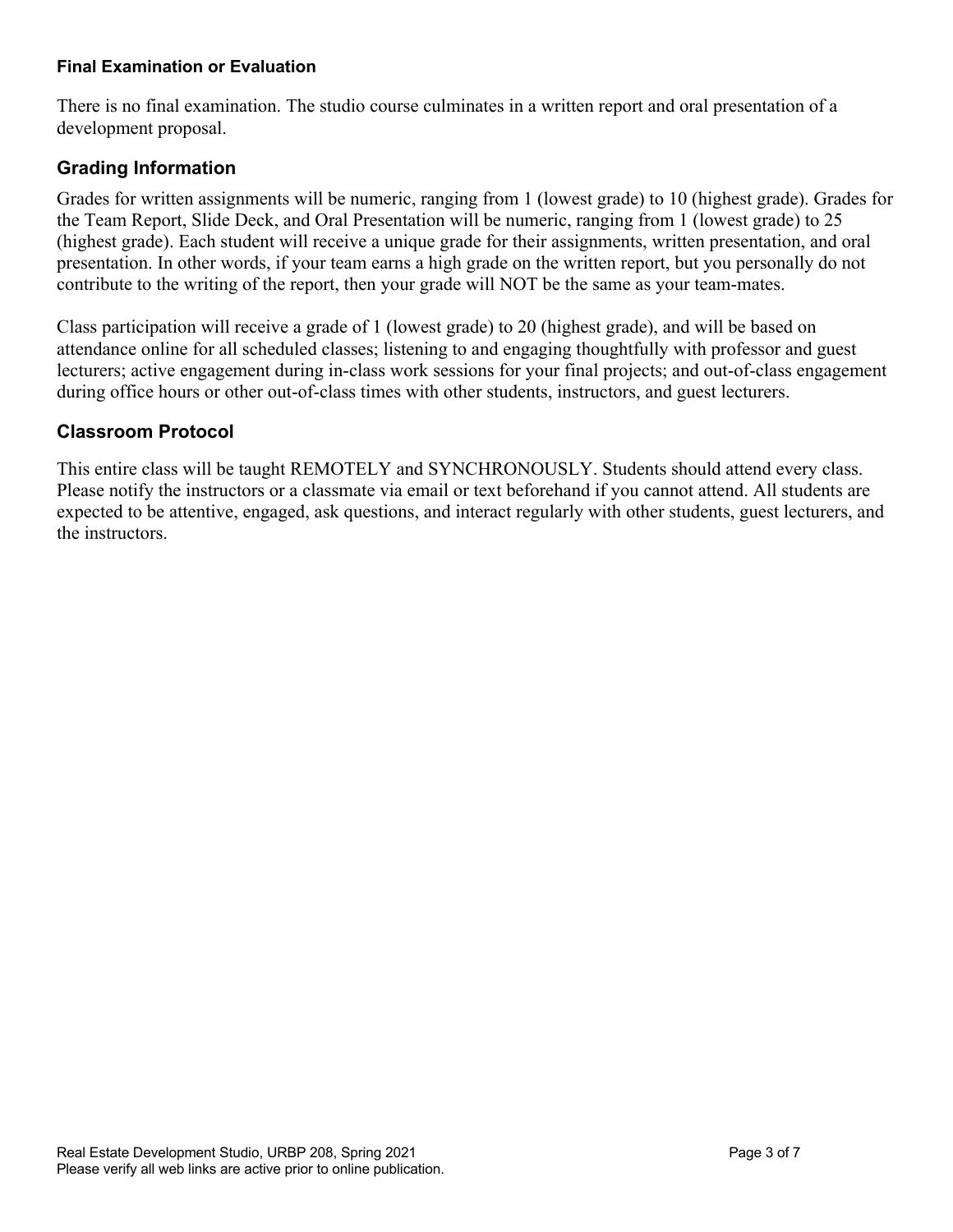#### **Final Examination or Evaluation**

There is no final examination. The studio course culminates in a written report and oral presentation of a development proposal.

## **Grading Information**

Grades for written assignments will be numeric, ranging from 1 (lowest grade) to 10 (highest grade). Grades for the Team Report, Slide Deck, and Oral Presentation will be numeric, ranging from 1 (lowest grade) to 25 (highest grade). Each student will receive a unique grade for their assignments, written presentation, and oral presentation. In other words, if your team earns a high grade on the written report, but you personally do not contribute to the writing of the report, then your grade will NOT be the same as your team-mates.

Class participation will receive a grade of 1 (lowest grade) to 20 (highest grade), and will be based on attendance online for all scheduled classes; listening to and engaging thoughtfully with professor and guest lecturers; active engagement during in-class work sessions for your final projects; and out-of-class engagement during office hours or other out-of-class times with other students, instructors, and guest lecturers.

### **Classroom Protocol**

This entire class will be taught REMOTELY and SYNCHRONOUSLY. Students should attend every class. Please notify the instructors or a classmate via email or text beforehand if you cannot attend. All students are expected to be attentive, engaged, ask questions, and interact regularly with other students, guest lecturers, and the instructors.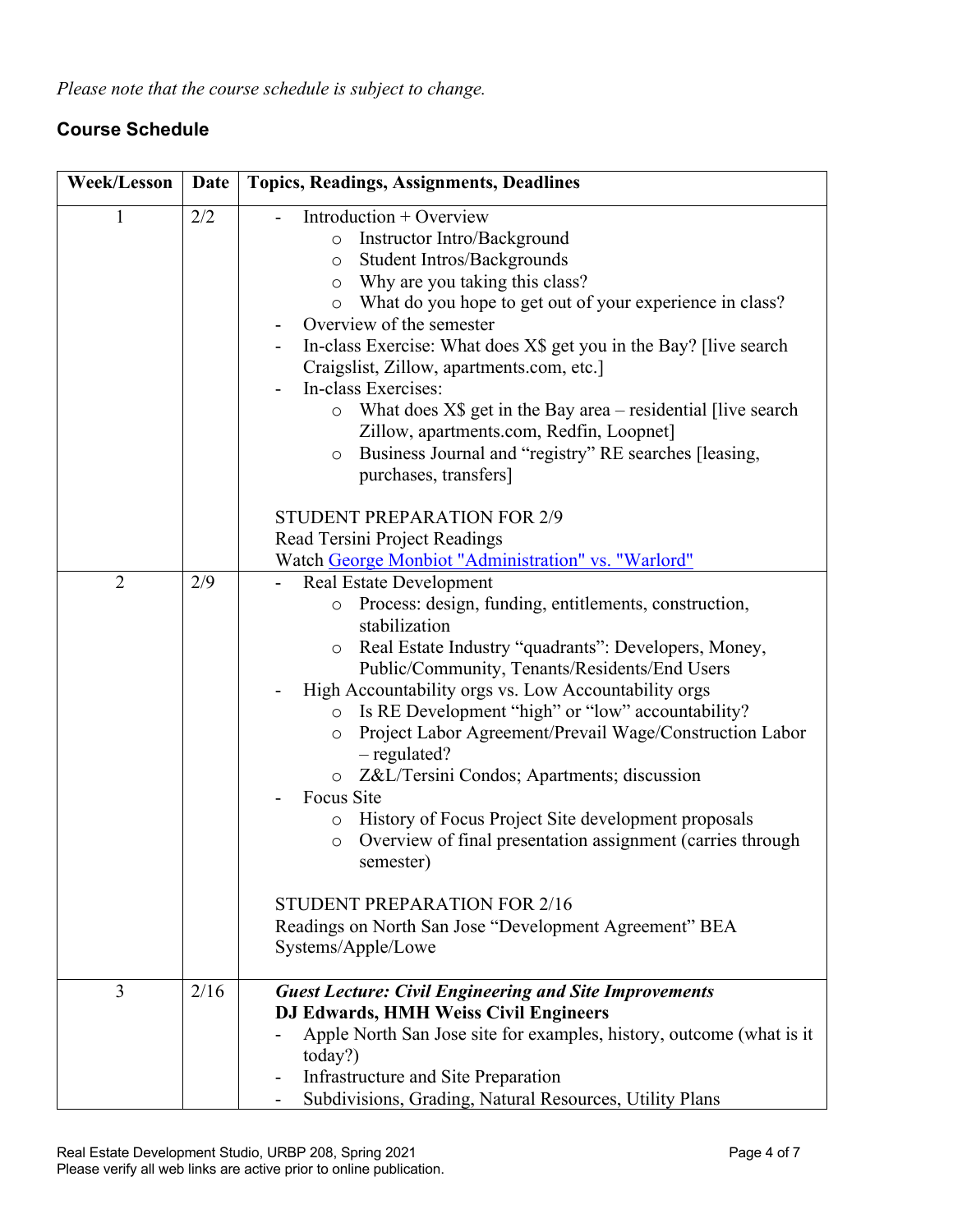*Please note that the course schedule is subject to change.*

## **Course Schedule**

| <b>Week/Lesson</b> | Date | <b>Topics, Readings, Assignments, Deadlines</b>                                                                                                                                                                                                                                                                                                                                                                                                                                                                                                                                                                                                                                                                                                                                                |
|--------------------|------|------------------------------------------------------------------------------------------------------------------------------------------------------------------------------------------------------------------------------------------------------------------------------------------------------------------------------------------------------------------------------------------------------------------------------------------------------------------------------------------------------------------------------------------------------------------------------------------------------------------------------------------------------------------------------------------------------------------------------------------------------------------------------------------------|
| $\mathbf{1}$       | 2/2  | Introduction + Overview<br>Instructor Intro/Background<br>$\circ$<br>Student Intros/Backgrounds<br>$\circ$<br>Why are you taking this class?<br>$\circ$<br>What do you hope to get out of your experience in class?<br>$\circ$<br>Overview of the semester<br>In-class Exercise: What does X\$ get you in the Bay? [live search<br>Craigslist, Zillow, apartments.com, etc.]<br>In-class Exercises:<br>What does $X\$ get in the Bay area – residential [live search]<br>$\circ$<br>Zillow, apartments.com, Redfin, Loopnet]<br>Business Journal and "registry" RE searches [leasing,<br>$\circ$<br>purchases, transfers]                                                                                                                                                                      |
|                    |      | <b>STUDENT PREPARATION FOR 2/9</b><br>Read Tersini Project Readings<br>Watch George Monbiot "Administration" vs. "Warlord"                                                                                                                                                                                                                                                                                                                                                                                                                                                                                                                                                                                                                                                                     |
| $\overline{2}$     | 2/9  | <b>Real Estate Development</b><br>Process: design, funding, entitlements, construction,<br>$\circ$<br>stabilization<br>Real Estate Industry "quadrants": Developers, Money,<br>O<br>Public/Community, Tenants/Residents/End Users<br>High Accountability orgs vs. Low Accountability orgs<br>Is RE Development "high" or "low" accountability?<br>$\circ$<br>Project Labor Agreement/Prevail Wage/Construction Labor<br>$\circ$<br>$-$ regulated?<br>o Z&L/Tersini Condos; Apartments; discussion<br>Focus Site<br>History of Focus Project Site development proposals<br>$\circ$<br>Overview of final presentation assignment (carries through<br>$\circ$<br>semester)<br><b>STUDENT PREPARATION FOR 2/16</b><br>Readings on North San Jose "Development Agreement" BEA<br>Systems/Apple/Lowe |
| $\overline{3}$     | 2/16 | <b>Guest Lecture: Civil Engineering and Site Improvements</b><br>DJ Edwards, HMH Weiss Civil Engineers<br>Apple North San Jose site for examples, history, outcome (what is it<br>today?)<br>Infrastructure and Site Preparation                                                                                                                                                                                                                                                                                                                                                                                                                                                                                                                                                               |
|                    |      | Subdivisions, Grading, Natural Resources, Utility Plans                                                                                                                                                                                                                                                                                                                                                                                                                                                                                                                                                                                                                                                                                                                                        |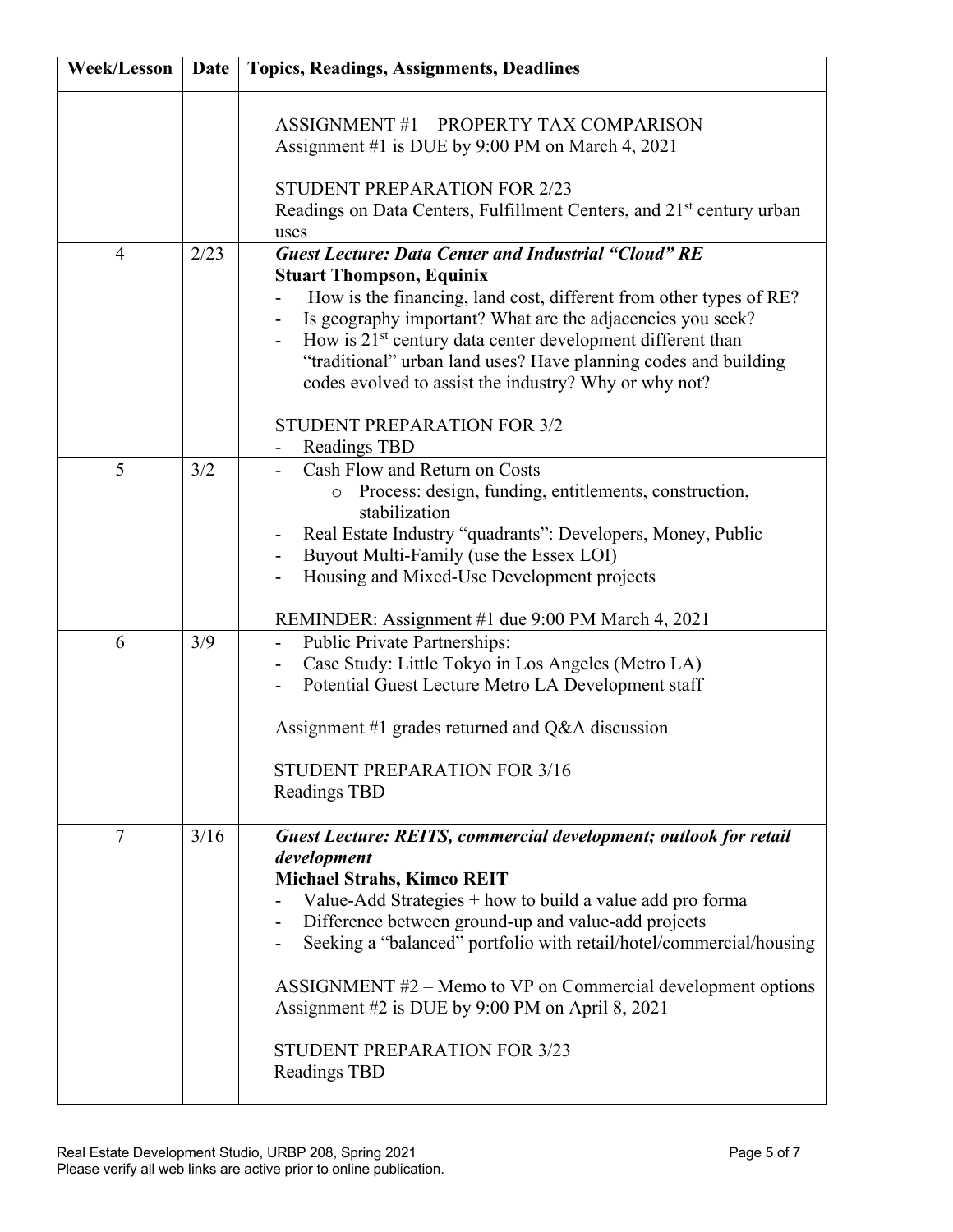| <b>Week/Lesson</b> | Date | <b>Topics, Readings, Assignments, Deadlines</b>                                                                                                                                                                                                                                                                                                                                                                                                                                                            |
|--------------------|------|------------------------------------------------------------------------------------------------------------------------------------------------------------------------------------------------------------------------------------------------------------------------------------------------------------------------------------------------------------------------------------------------------------------------------------------------------------------------------------------------------------|
|                    |      | <b>ASSIGNMENT #1 - PROPERTY TAX COMPARISON</b><br>Assignment #1 is DUE by 9:00 PM on March 4, 2021<br><b>STUDENT PREPARATION FOR 2/23</b><br>Readings on Data Centers, Fulfillment Centers, and 21 <sup>st</sup> century urban<br>uses                                                                                                                                                                                                                                                                     |
| $\overline{4}$     | 2/23 | <b>Guest Lecture: Data Center and Industrial "Cloud" RE</b>                                                                                                                                                                                                                                                                                                                                                                                                                                                |
|                    |      | <b>Stuart Thompson, Equinix</b><br>How is the financing, land cost, different from other types of RE?<br>Is geography important? What are the adjacencies you seek?<br>How is 21 <sup>st</sup> century data center development different than<br>"traditional" urban land uses? Have planning codes and building<br>codes evolved to assist the industry? Why or why not?                                                                                                                                  |
|                    |      | <b>STUDENT PREPARATION FOR 3/2</b><br>Readings TBD<br>۰                                                                                                                                                                                                                                                                                                                                                                                                                                                    |
| 5                  | 3/2  | Cash Flow and Return on Costs<br>Process: design, funding, entitlements, construction,<br>stabilization<br>Real Estate Industry "quadrants": Developers, Money, Public<br>Buyout Multi-Family (use the Essex LOI)<br>Housing and Mixed-Use Development projects<br>REMINDER: Assignment #1 due 9:00 PM March 4, 2021                                                                                                                                                                                       |
| 6                  | 3/9  | Public Private Partnerships:<br>Case Study: Little Tokyo in Los Angeles (Metro LA)<br>Potential Guest Lecture Metro LA Development staff<br>Assignment #1 grades returned and $Q&A$ discussion<br>STUDENT PREPARATION FOR 3/16                                                                                                                                                                                                                                                                             |
|                    |      | <b>Readings TBD</b>                                                                                                                                                                                                                                                                                                                                                                                                                                                                                        |
| 7                  | 3/16 | <b>Guest Lecture: REITS, commercial development; outlook for retail</b><br>development<br><b>Michael Strahs, Kimco REIT</b><br>Value-Add Strategies + how to build a value add pro forma<br>Difference between ground-up and value-add projects<br>Seeking a "balanced" portfolio with retail/hotel/commercial/housing<br>ASSIGNMENT $#2$ – Memo to VP on Commercial development options<br>Assignment #2 is DUE by 9:00 PM on April 8, 2021<br><b>STUDENT PREPARATION FOR 3/23</b><br><b>Readings TBD</b> |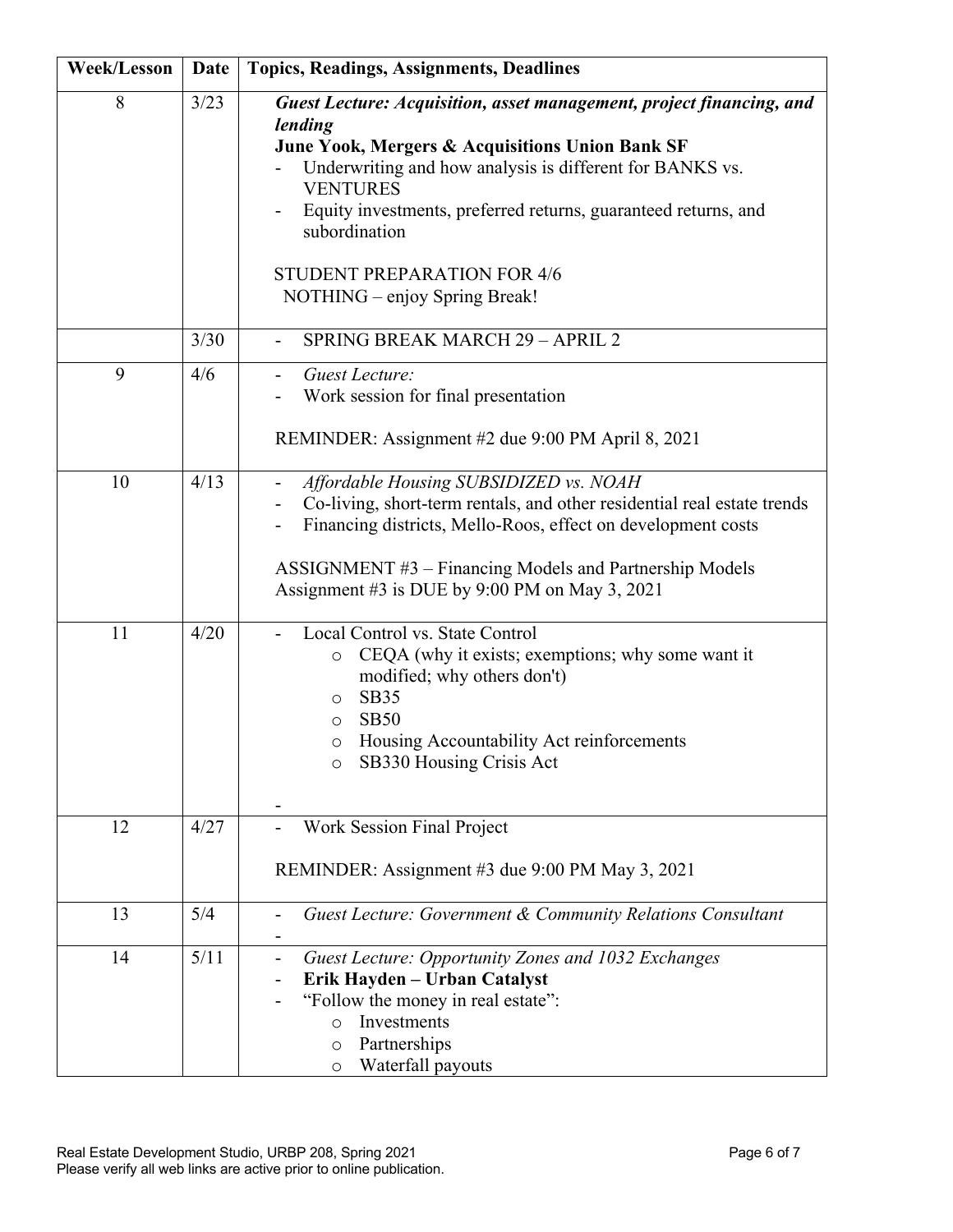| <b>Week/Lesson</b> | Date | <b>Topics, Readings, Assignments, Deadlines</b>                                                                                                                                                                                                                                                                                                                             |
|--------------------|------|-----------------------------------------------------------------------------------------------------------------------------------------------------------------------------------------------------------------------------------------------------------------------------------------------------------------------------------------------------------------------------|
| 8                  | 3/23 | Guest Lecture: Acquisition, asset management, project financing, and<br>lending<br>June Yook, Mergers & Acquisitions Union Bank SF<br>Underwriting and how analysis is different for BANKS vs.<br><b>VENTURES</b><br>Equity investments, preferred returns, guaranteed returns, and<br>subordination<br><b>STUDENT PREPARATION FOR 4/6</b><br>NOTHING – enjoy Spring Break! |
|                    | 3/30 | <b>SPRING BREAK MARCH 29 - APRIL 2</b>                                                                                                                                                                                                                                                                                                                                      |
| 9                  | 4/6  | Guest Lecture:<br>Work session for final presentation<br>REMINDER: Assignment #2 due 9:00 PM April 8, 2021                                                                                                                                                                                                                                                                  |
| 10                 | 4/13 | Affordable Housing SUBSIDIZED vs. NOAH<br>Co-living, short-term rentals, and other residential real estate trends<br>Financing districts, Mello-Roos, effect on development costs<br>ASSIGNMENT #3 – Financing Models and Partnership Models<br>Assignment #3 is DUE by 9:00 PM on May 3, 2021                                                                              |
| 11                 | 4/20 | Local Control vs. State Control<br>CEQA (why it exists; exemptions; why some want it<br>$\circ$<br>modified; why others don't)<br><b>SB35</b><br>$\circ$<br><b>SB50</b><br>$\circ$<br>Housing Accountability Act reinforcements<br>O<br>SB330 Housing Crisis Act<br>$\circ$                                                                                                 |
| 12                 | 4/27 | Work Session Final Project<br>REMINDER: Assignment #3 due 9:00 PM May 3, 2021                                                                                                                                                                                                                                                                                               |
| 13                 | 5/4  | Guest Lecture: Government & Community Relations Consultant                                                                                                                                                                                                                                                                                                                  |
| 14                 | 5/11 | Guest Lecture: Opportunity Zones and 1032 Exchanges<br>Erik Hayden - Urban Catalyst<br>"Follow the money in real estate":<br>Investments<br>$\circ$<br>Partnerships<br>O<br>Waterfall payouts<br>$\circ$                                                                                                                                                                    |